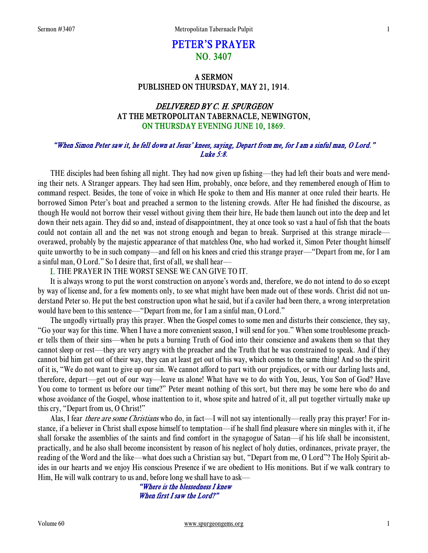# PETER'S PRAYER NO. 3407

# A SERMON PUBLISHED ON THURSDAY, MAY 21, 1914.

# DELIVERED BY C. H. SPURGEON AT THE METROPOLITAN TABERNACLE, NEWINGTON, ON THURSDAY EVENING JUNE 10, 1869.

# "When Simon Peter saw it, he fell down at Jesus' knees, saying, Depart from me, for I am a sinful man, O Lord." Luke 5:8.

 THE disciples had been fishing all night. They had now given up fishing—they had left their boats and were mending their nets. A Stranger appears. They had seen Him, probably, once before, and they remembered enough of Him to command respect. Besides, the tone of voice in which He spoke to them and His manner at once ruled their hearts. He borrowed Simon Peter's boat and preached a sermon to the listening crowds. After He had finished the discourse, as though He would not borrow their vessel without giving them their hire, He bade them launch out into the deep and let down their nets again. They did so and, instead of disappointment, they at once took so vast a haul of fish that the boats could not contain all and the net was not strong enough and began to break. Surprised at this strange miracle overawed, probably by the majestic appearance of that matchless One, who had worked it, Simon Peter thought himself quite unworthy to be in such company—and fell on his knees and cried this strange prayer—"Depart from me, for I am a sinful man, O Lord." So I desire that, first of all, we shall hear—

### I. THE PRAYER IN THE WORST SENSE WE CAN GIVE TO IT.

 It is always wrong to put the worst construction on anyone's words and, therefore, we do not intend to do so except by way of license and, for a few moments only, to see what might have been made out of these words. Christ did not understand Peter so. He put the best construction upon what he said, but if a caviler had been there, a wrong interpretation would have been to this sentence—"Depart from me, for I am a sinful man, O Lord."

 The ungodly virtually pray this prayer. When the Gospel comes to some men and disturbs their conscience, they say, "Go your way for this time. When I have a more convenient season, I will send for you." When some troublesome preacher tells them of their sins—when he puts a burning Truth of God into their conscience and awakens them so that they cannot sleep or rest—they are very angry with the preacher and the Truth that he was constrained to speak. And if they cannot bid him get out of their way, they can at least get out of his way, which comes to the same thing! And so the spirit of it is, "We do not want to give up our sin. We cannot afford to part with our prejudices, or with our darling lusts and, therefore, depart—get out of our way—leave us alone! What have we to do with You, Jesus, You Son of God? Have You come to torment us before our time?" Peter meant nothing of this sort, but there may be some here who do and whose avoidance of the Gospel, whose inattention to it, whose spite and hatred of it, all put together virtually make up this cry, "Depart from us, O Christ!"

Alas, I fear there are some Christians who do, in fact—I will not say intentionally—really pray this prayer! For instance, if a believer in Christ shall expose himself to temptation—if he shall find pleasure where sin mingles with it, if he shall forsake the assemblies of the saints and find comfort in the synagogue of Satan—if his life shall be inconsistent, practically, and he also shall become inconsistent by reason of his neglect of holy duties, ordinances, private prayer, the reading of the Word and the like—what does such a Christian say but, "Depart from me, O Lord"? The Holy Spirit abides in our hearts and we enjoy His conscious Presence if we are obedient to His monitions. But if we walk contrary to Him, He will walk contrary to us and, before long we shall have to ask—

"Where is the blessedness I knew When first I saw the Lord?"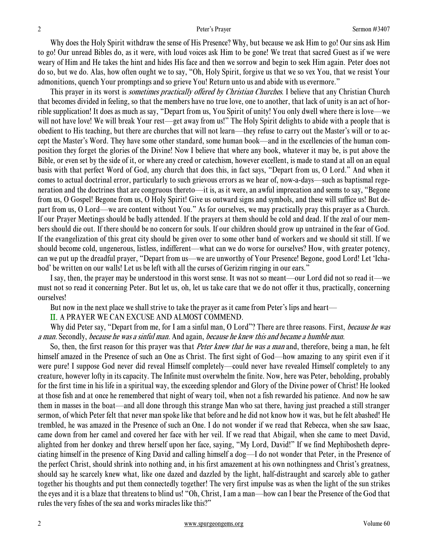Why does the Holy Spirit withdraw the sense of His Presence? Why, but because we ask Him to go! Our sins ask Him to go! Our unread Bibles do, as it were, with loud voices ask Him to be gone! We treat that sacred Guest as if we were weary of Him and He takes the hint and hides His face and then we sorrow and begin to seek Him again. Peter does not do so, but we do. Alas, how often ought we to say, "Oh, Holy Spirit, forgive us that we so vex You, that we resist Your admonitions, quench Your promptings and so grieve You! Return unto us and abide with us evermore."

This prayer in its worst is *sometimes practically offered by Christian Churches*. I believe that any Christian Church that becomes divided in feeling, so that the members have no true love, one to another, that lack of unity is an act of horrible supplication! It does as much as say, "Depart from us, You Spirit of unity! You only dwell where there is love—we will not have love! We will break Your rest—get away from us!" The Holy Spirit delights to abide with a people that is obedient to His teaching, but there are churches that will not learn—they refuse to carry out the Master's will or to accept the Master's Word. They have some other standard, some human book—and in the excellencies of the human composition they forget the glories of the Divine! Now I believe that where any book, whatever it may be, is put above the Bible, or even set by the side of it, or where any creed or catechism, however excellent, is made to stand at all on an equal basis with that perfect Word of God, any church that does this, in fact says, "Depart from us, O Lord." And when it comes to actual doctrinal error, particularly to such grievous errors as we hear of, now-a-days—such as baptismal regeneration and the doctrines that are congruous thereto—it is, as it were, an awful imprecation and seems to say, "Begone from us, O Gospel! Begone from us, O Holy Spirit! Give us outward signs and symbols, and these will suffice us! But depart from us, O Lord—we are content without You." As for ourselves, we may practically pray this prayer as a Church. If our Prayer Meetings should be badly attended. If the prayers at them should be cold and dead. If the zeal of our members should die out. If there should be no concern for souls. If our children should grow up untrained in the fear of God. If the evangelization of this great city should be given over to some other band of workers and we should sit still. If we should become cold, ungenerous, listless, indifferent—what can we do worse for ourselves? How, with greater potency, can we put up the dreadful prayer, "Depart from us—we are unworthy of Your Presence! Begone, good Lord! Let 'Ichabod' be written on our walls! Let us be left with all the curses of Gerizim ringing in our ears."

 I say, then, the prayer may be understood in this worst sense. It was not so meant—our Lord did not so read it—we must not so read it concerning Peter. But let us, oh, let us take care that we do not offer it thus, practically, concerning ourselves!

But now in the next place we shall strive to take the prayer as it came from Peter's lips and heart—

II. A PRAYER WE CAN EXCUSE AND ALMOST COMMEND.

Why did Peter say, "Depart from me, for I am a sinful man, O Lord"? There are three reasons. First, *because he was* a man. Secondly, because he was a sinful man. And again, because he knew this and became a humble man.

So, then, the first reason for this prayer was that *Peter knew that he was a man* and, therefore, being a man, he felt himself amazed in the Presence of such an One as Christ. The first sight of God—how amazing to any spirit even if it were pure! I suppose God never did reveal Himself completely—could never have revealed Himself completely to any creature, however lofty in its capacity. The Infinite must overwhelm the finite. Now, here was Peter, beholding, probably for the first time in his life in a spiritual way, the exceeding splendor and Glory of the Divine power of Christ! He looked at those fish and at once he remembered that night of weary toil, when not a fish rewarded his patience. And now he saw them in masses in the boat—and all done through this strange Man who sat there, having just preached a still stranger sermon, of which Peter felt that never man spoke like that before and he did not know how it was, but he felt abashed! He trembled, he was amazed in the Presence of such an One. I do not wonder if we read that Rebecca, when she saw Isaac, came down from her camel and covered her face with her veil. If we read that Abigail, when she came to meet David, alighted from her donkey and threw herself upon her face, saying, "My Lord, David!" If we find Mephibosheth depreciating himself in the presence of King David and calling himself a dog—I do not wonder that Peter, in the Presence of the perfect Christ, should shrink into nothing and, in his first amazement at his own nothingness and Christ's greatness, should say he scarcely knew what, like one dazed and dazzled by the light, half-distraught and scarcely able to gather together his thoughts and put them connectedly together! The very first impulse was as when the light of the sun strikes the eyes and it is a blaze that threatens to blind us! "Oh, Christ, I am a man—how can I bear the Presence of the God that rules the very fishes of the sea and works miracles like this?"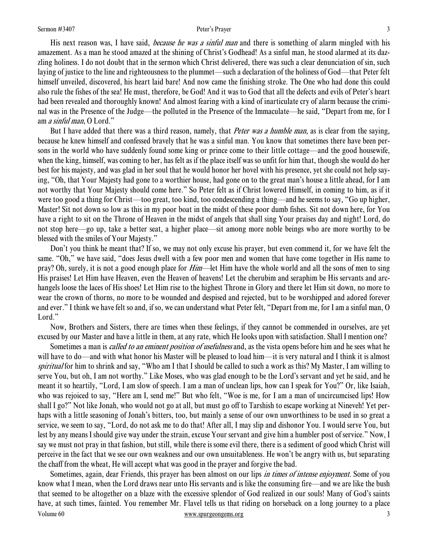His next reason was, I have said, *because he was a sinful man* and there is something of alarm mingled with his amazement. As a man he stood amazed at the shining of Christ's Godhead! As a sinful man, he stood alarmed at its dazzling holiness. I do not doubt that in the sermon which Christ delivered, there was such a clear denunciation of sin, such laying of justice to the line and righteousness to the plummet—such a declaration of the holiness of God—that Peter felt himself unveiled, discovered, his heart laid bare! And now came the finishing stroke. The One who had done this could also rule the fishes of the sea! He must, therefore, be God! And it was to God that all the defects and evils of Peter's heart had been revealed and thoroughly known! And almost fearing with a kind of inarticulate cry of alarm because the criminal was in the Presence of the Judge—the polluted in the Presence of the Immaculate—he said, "Depart from me, for I am a sinful man, O Lord."

But I have added that there was a third reason, namely, that *Peter was a humble man*, as is clear from the saying, because he knew himself and confessed bravely that he was a sinful man. You know that sometimes there have been persons in the world who have suddenly found some king or prince come to their little cottage—and the good housewife, when the king, himself, was coming to her, has felt as if the place itself was so unfit for him that, though she would do her best for his majesty, and was glad in her soul that he would honor her hovel with his presence, yet she could not help saying, "Oh, that Your Majesty had gone to a worthier house, had gone on to the great man's house a little ahead, for I am not worthy that Your Majesty should come here." So Peter felt as if Christ lowered Himself, in coming to him, as if it were too good a thing for Christ—too great, too kind, too condescending a thing—and he seems to say, "Go up higher, Master! Sit not down so low as this in my poor boat in the midst of these poor dumb fishes. Sit not down here, for You have a right to sit on the Throne of Heaven in the midst of angels that shall sing Your praises day and night! Lord, do not stop here—go up, take a better seat, a higher place—sit among more noble beings who are more worthy to be blessed with the smiles of Your Majesty."

 Don't you think he meant that? If so, we may not only excuse his prayer, but even commend it, for we have felt the same. "Oh," we have said, "does Jesus dwell with a few poor men and women that have come together in His name to pray? Oh, surely, it is not a good enough place for *Him*—let Him have the whole world and all the sons of men to sing His praises! Let Him have Heaven, even the Heaven of heavens! Let the cherubim and seraphim be His servants and archangels loose the laces of His shoes! Let Him rise to the highest Throne in Glory and there let Him sit down, no more to wear the crown of thorns, no more to be wounded and despised and rejected, but to be worshipped and adored forever and ever." I think we have felt so and, if so, we can understand what Peter felt, "Depart from me, for I am a sinful man, O Lord."

 Now, Brothers and Sisters, there are times when these feelings, if they cannot be commended in ourselves, are yet excused by our Master and have a little in them, at any rate, which He looks upon with satisfaction. Shall I mention one?

Sometimes a man is *called to an eminent position of usefulness* and, as the vista opens before him and he sees what he will have to do—and with what honor his Master will be pleased to load him—it is very natural and I think it is almost spiritual for him to shrink and say, "Who am I that I should be called to such a work as this? My Master, I am willing to serve You, but oh, I am not worthy." Like Moses, who was glad enough to be the Lord's servant and yet he said, and he meant it so heartily, "Lord, I am slow of speech. I am a man of unclean lips, how can I speak for You?" Or, like Isaiah, who was rejoiced to say, "Here am I, send me!" But who felt, "Woe is me, for I am a man of uncircumcised lips! How shall I go?" Not like Jonah, who would not go at all, but must go off to Tarshish to escape working at Nineveh! Yet perhaps with a little seasoning of Jonah's bitters, too, but mainly a sense of our own unworthiness to be used in so great a service, we seem to say, "Lord, do not ask me to do that! After all, I may slip and dishonor You. I would serve You, but lest by any means I should give way under the strain, excuse Your servant and give him a humbler post of service." Now, I say we must not pray in that fashion, but still, while there is some evil there, there is a sediment of good which Christ will perceive in the fact that we see our own weakness and our own unsuitableness. He won't be angry with us, but separating the chaff from the wheat, He will accept what was good in the prayer and forgive the bad.

Volume 60 www.spurgeongems.org 3 Sometimes, again, dear Friends, this prayer has been almost on our lips *in times of intense enjoyment*. Some of you know what I mean, when the Lord draws near unto His servants and is like the consuming fire—and we are like the bush that seemed to be altogether on a blaze with the excessive splendor of God realized in our souls! Many of God's saints have, at such times, fainted. You remember Mr. Flavel tells us that riding on horseback on a long journey to a place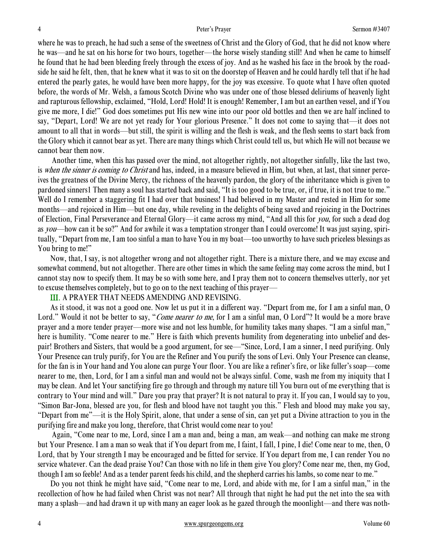where he was to preach, he had such a sense of the sweetness of Christ and the Glory of God, that he did not know where he was—and he sat on his horse for two hours, together—the horse wisely standing still! And when he came to himself he found that he had been bleeding freely through the excess of joy. And as he washed his face in the brook by the roadside he said he felt, then, that he knew what it was to sit on the doorstep of Heaven and he could hardly tell that if he had entered the pearly gates, he would have been more happy, for the joy was excessive. To quote what I have often quoted before, the words of Mr. Welsh, a famous Scotch Divine who was under one of those blessed deliriums of heavenly light and rapturous fellowship, exclaimed, "Hold, Lord! Hold! It is enough! Remember, I am but an earthen vessel, and if You give me more, I die!" God does sometimes put His new wine into our poor old bottles and then we are half inclined to say, "Depart, Lord! We are not yet ready for Your glorious Presence." It does not come to saying that—it does not amount to all that in words—but still, the spirit is willing and the flesh is weak, and the flesh seems to start back from the Glory which it cannot bear as yet. There are many things which Christ could tell us, but which He will not because we cannot bear them now.

 Another time, when this has passed over the mind, not altogether rightly, not altogether sinfully, like the last two, is when the sinner is coming to Christ and has, indeed, in a measure believed in Him, but when, at last, that sinner perceives the greatness of the Divine Mercy, the richness of the heavenly pardon, the glory of the inheritance which is given to pardoned sinners1 Then many a soul has started back and said, "It is too good to be true, or, if true, it is not true to me." Well do I remember a staggering fit I had over that business! I had believed in my Master and rested in Him for some months—and rejoiced in Him—but one day, while reveling in the delights of being saved and rejoicing in the Doctrines of Election, Final Perseverance and Eternal Glory—it came across my mind, "And all this for you, for such a dead dog as you—how can it be so?" And for awhile it was a temptation stronger than I could overcome! It was just saying, spiritually, "Depart from me, I am too sinful a man to have You in my boat—too unworthy to have such priceless blessings as You bring to me!"

 Now, that, I say, is not altogether wrong and not altogether right. There is a mixture there, and we may excuse and somewhat commend, but not altogether. There are other times in which the same feeling may come across the mind, but I cannot stay now to specify them. It may be so with some here, and I pray them not to concern themselves utterly, nor yet to excuse themselves completely, but to go on to the next teaching of this prayer—

# III. A PRAYER THAT NEEDS AMENDING AND REVISING.

 As it stood, it was not a good one. Now let us put it in a different way. "Depart from me, for I am a sinful man, O Lord." Would it not be better to say, "*Come nearer to me*, for I am a sinful man, O Lord"? It would be a more brave prayer and a more tender prayer—more wise and not less humble, for humility takes many shapes. "I am a sinful man," here is humility. "Come nearer to me." Here is faith which prevents humility from degenerating into unbelief and despair! Brothers and Sisters, that would be a good argument, for see—"Since, Lord, I am a sinner, I need purifying. Only Your Presence can truly purify, for You are the Refiner and You purify the sons of Levi. Only Your Presence can cleanse, for the fan is in Your hand and You alone can purge Your floor. You are like a refiner's fire, or like fuller's soap—come nearer to me, then, Lord, for I am a sinful man and would not be always sinful. Come, wash me from my iniquity that I may be clean. And let Your sanctifying fire go through and through my nature till You burn out of me everything that is contrary to Your mind and will." Dare you pray that prayer? It is not natural to pray it. If you can, I would say to you, "Simon Bar-Jona, blessed are you, for flesh and blood have not taught you this." Flesh and blood may make you say, "Depart from me"—it is the Holy Spirit, alone, that under a sense of sin, can yet put a Divine attraction to you in the purifying fire and make you long, therefore, that Christ would come near to you!

 Again, "Come near to me, Lord, since I am a man and, being a man, am weak—and nothing can make me strong but Your Presence. I am a man so weak that if You depart from me, I faint, I fall, I pine, I die! Come near to me, then, O Lord, that by Your strength I may be encouraged and be fitted for service. If You depart from me, I can render You no service whatever. Can the dead praise You? Can those with no life in them give You glory? Come near me, then, my God, though I am so feeble! And as a tender parent feeds his child, and the shepherd carries his lambs, so come near to me."

 Do you not think he might have said, "Come near to me, Lord, and abide with me, for I am a sinful man," in the recollection of how he had failed when Christ was not near? All through that night he had put the net into the sea with many a splash—and had drawn it up with many an eager look as he gazed through the moonlight—and there was noth-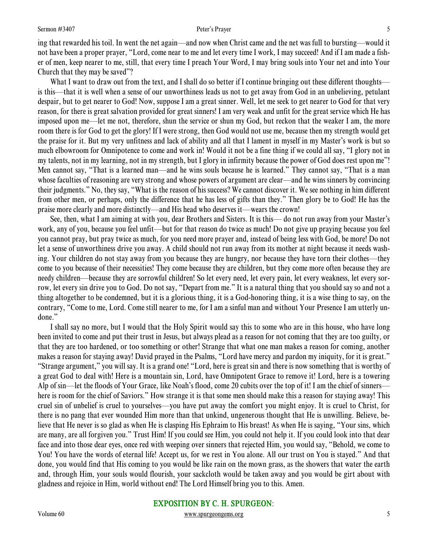ing that rewarded his toil. In went the net again—and now when Christ came and the net was full to bursting—would it not have been a proper prayer, "Lord, come near to me and let every time I work, I may succeed! And if I am made a fisher of men, keep nearer to me, still, that every time I preach Your Word, I may bring souls into Your net and into Your Church that they may be saved"?

What I want to draw out from the text, and I shall do so better if I continue bringing out these different thoughts is this—that it is well when a sense of our unworthiness leads us not to get away from God in an unbelieving, petulant despair, but to get nearer to God! Now, suppose I am a great sinner. Well, let me seek to get nearer to God for that very reason, for there is great salvation provided for great sinners! I am very weak and unfit for the great service which He has imposed upon me—let me not, therefore, shun the service or shun my God, but reckon that the weaker I am, the more room there is for God to get the glory! If I were strong, then God would not use me, because then my strength would get the praise for it. But my very unfitness and lack of ability and all that I lament in myself in my Master's work is but so much elbowroom for Omnipotence to come and work in! Would it not be a fine thing if we could all say, "I glory not in my talents, not in my learning, not in my strength, but I glory in infirmity because the power of God does rest upon me"! Men cannot say, "That is a learned man—and he wins souls because he is learned." They cannot say, "That is a man whose faculties of reasoning are very strong and whose powers of argument are clear—and he wins sinners by convincing their judgments." No, they say, "What is the reason of his success? We cannot discover it. We see nothing in him different from other men, or perhaps, only the difference that he has less of gifts than they." Then glory be to God! He has the praise more clearly and more distinctly—and His head who deserves it—wears the crown!

 See, then, what I am aiming at with you, dear Brothers and Sisters. It is this— do not run away from your Master's work, any of you, because you feel unfit—but for that reason do twice as much! Do not give up praying because you feel you cannot pray, but pray twice as much, for you need more prayer and, instead of being less with God, be more! Do not let a sense of unworthiness drive you away. A child should not run away from its mother at night because it needs washing. Your children do not stay away from you because they are hungry, nor because they have torn their clothes—they come to you because of their necessities! They come because they are children, but they come more often because they are needy children—because they are sorrowful children! So let every need, let every pain, let every weakness, let every sorrow, let every sin drive you to God. Do not say, "Depart from me." It is a natural thing that you should say so and not a thing altogether to be condemned, but it is a glorious thing, it is a God-honoring thing, it is a wise thing to say, on the contrary, "Come to me, Lord. Come still nearer to me, for I am a sinful man and without Your Presence I am utterly undone."

 I shall say no more, but I would that the Holy Spirit would say this to some who are in this house, who have long been invited to come and put their trust in Jesus, but always plead as a reason for not coming that they are too guilty, or that they are too hardened, or too something or other! Strange that what one man makes a reason for coming, another makes a reason for staying away! David prayed in the Psalms, "Lord have mercy and pardon my iniquity, for it is great." "Strange argument," you will say. It is a grand one! "Lord, here is great sin and there is now something that is worthy of a great God to deal with! Here is a mountain sin, Lord, have Omnipotent Grace to remove it! Lord, here is a towering Alp of sin—let the floods of Your Grace, like Noah's flood, come 20 cubits over the top of it! I am the chief of sinners here is room for the chief of Saviors." How strange it is that some men should make this a reason for staying away! This cruel sin of unbelief is cruel to yourselves—you have put away the comfort you might enjoy. It is cruel to Christ, for there is no pang that ever wounded Him more than that unkind, ungenerous thought that He is unwilling. Believe, believe that He never is so glad as when He is clasping His Ephraim to His breast! As when He is saying, "Your sins, which are many, are all forgiven you." Trust Him! If you could see Him, you could not help it. If you could look into that dear face and into those dear eyes, once red with weeping over sinners that rejected Him, you would say, "Behold, we come to You! You have the words of eternal life! Accept us, for we rest in You alone. All our trust on You is stayed." And that done, you would find that His coming to you would be like rain on the mown grass, as the showers that water the earth and, through Him, your souls would flourish, your sackcloth would be taken away and you would be girt about with gladness and rejoice in Him, world without end! The Lord Himself bring you to this. Amen.

# EXPOSITION BY C. H. SPURGEON:

### Volume 60 www.spurgeongems.org 5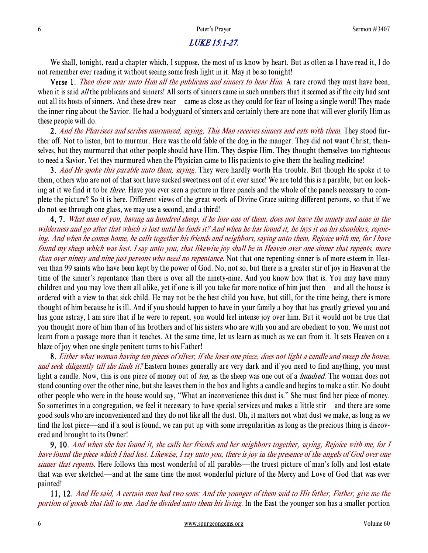# LUKE 15:1-27.

We shall, tonight, read a chapter which, I suppose, the most of us know by heart. But as often as I have read it, I do not remember ever reading it without seeing some fresh light in it. May it be so tonight!

Verse 1. Then drew near unto Him all the publicans and sinners to hear Him. A rare crowd they must have been, when it is said *all* the publicans and sinners! All sorts of sinners came in such numbers that it seemed as if the city had sent out all its hosts of sinners. And these drew near—came as close as they could for fear of losing a single word! They made the inner ring about the Savior. He had a bodyguard of sinners and certainly there are none that will ever glorify Him as these people will do.

2. And the Pharisees and scribes murmured, saying, This Man receives sinners and eats with them. They stood further off. Not to listen, but to murmur. Here was the old fable of the dog in the manger. They did not want Christ, themselves, but they murmured that other people should have Him. They despise Him. They thought themselves too righteous to need a Savior. Yet they murmured when the Physician came to His patients to give them the healing medicine!

3. And He spoke this parable unto them, saying. They were hardly worth His trouble. But though He spoke it to them, others who are not of that sort have sucked sweetness out of it ever since! We are told this is a parable, but on looking at it we find it to be *three*. Have you ever seen a picture in three panels and the whole of the panels necessary to complete the picture? So it is here. Different views of the great work of Divine Grace suiting different persons, so that if we do not see through one glass, we may use a second, and a third!

4, 7. What man of you, having an hundred sheep, if he lose one of them, does not leave the ninety and nine in the wilderness and go after that which is lost until he finds it? And when he has found it, he lays it on his shoulders, rejoicing. And when he comes home, he calls together his friends and neighbors, saying unto them, Rejoice with me, for I have found my sheep which was lost. I say unto you, that likewise joy shall be in Heaven over one sinner that repents, more than over ninety and nine just persons who need no repentance. Not that one repenting sinner is of more esteem in Heaven than 99 saints who have been kept by the power of God. No, not so, but there is a greater stir of joy in Heaven at the time of the sinner's repentance than there is over all the ninety-nine. And you know how that is. You may have many children and you may love them all alike, yet if one is ill you take far more notice of him just then—and all the house is ordered with a view to that sick child. He may not be the best child you have, but still, for the time being, there is more thought of him because he is ill. And if you should happen to have in your family a boy that has greatly grieved you and has gone astray, I am sure that if he were to repent, you would feel intense joy over him. But it would not be true that you thought more of him than of his brothers and of his sisters who are with you and are obedient to you. We must not learn from a passage more than it teaches. At the same time, let us learn as much as we can from it. It sets Heaven on a blaze of joy when one single penitent turns to his Father!

8. Either what woman having ten pieces of silver, if she loses one piece, does not light a candle and sweep the house, and seek diligently till she finds it? Eastern houses generally are very dark and if you need to find anything, you must light a candle. Now, this is one piece of money out of *ten*, as the sheep was one out of a *hundred*. The woman does not stand counting over the other nine, but she leaves them in the box and lights a candle and begins to make a stir. No doubt other people who were in the house would say, "What an inconvenience this dust is." She must find her piece of money. So sometimes in a congregation, we feel it necessary to have special services and makes a little stir—and there are some good souls who are inconvenienced and they do not like all the dust. Oh, it matters not what dust we make, as long as we find the lost piece—and if a soul is found, we can put up with some irregularities as long as the precious thing is discovered and brought to its Owner!

9, 10. And when she has found it, she calls her friends and her neighbors together, saying, Rejoice with me, for I have found the piece which I had lost. Likewise, I say unto you, there is joy in the presence of the angels of God over one sinner that repents. Here follows this most wonderful of all parables—the truest picture of man's folly and lost estate that was ever sketched—and at the same time the most wonderful picture of the Mercy and Love of God that was ever painted!

11, 12. And He said, A certain man had two sons: And the younger of them said to His father, Father, give me the portion of goods that fall to me. And he divided unto them his living. In the East the younger son has a smaller portion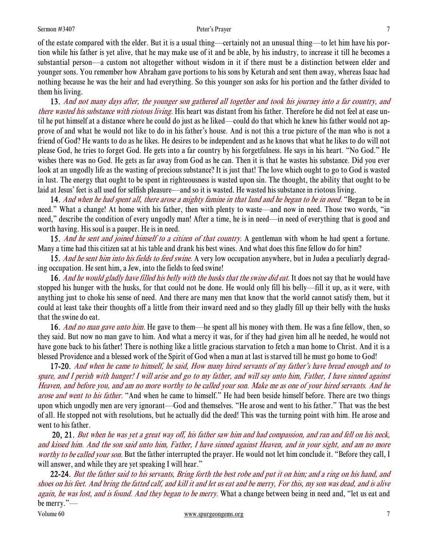of the estate compared with the elder. But it is a usual thing—certainly not an unusual thing—to let him have his portion while his father is yet alive, that he may make use of it and be able, by his industry, to increase it till he becomes a substantial person—a custom not altogether without wisdom in it if there must be a distinction between elder and younger sons. You remember how Abraham gave portions to his sons by Keturah and sent them away, whereas Isaac had nothing because he was the heir and had everything. So this younger son asks for his portion and the father divided to them his living.

 13. And not many days after, the younger son gathered all together and took his journey into a far country, and there wasted his substance with riotous living. His heart was distant from his father. Therefore he did not feel at ease until he put himself at a distance where he could do just as he liked—could do that which he knew his father would not approve of and what he would not like to do in his father's house. And is not this a true picture of the man who is not a friend of God? He wants to do as he likes. He desires to be independent and as he knows that what he likes to do will not please God, he tries to forget God. He gets into a far country by his forgetfulness. He says in his heart. "No God." He wishes there was no God. He gets as far away from God as he can. Then it is that he wastes his substance. Did you ever look at an ungodly life as the wasting of precious substance? It is just that! The love which ought to go to God is wasted in lust. The energy that ought to be spent in righteousness is wasted upon sin. The thought, the ability that ought to be laid at Jesus' feet is all used for selfish pleasure—and so it is wasted. He wasted his substance in riotous living.

14. And when he had spent all, there arose a mighty famine in that land and he began to be in need. "Began to be in need." What a change! At home with his father, then with plenty to waste—and now in need. Those two words, "in need," describe the condition of every ungodly man! After a time, he is in need—in need of everything that is good and worth having. His soul is a pauper. He is in need.

15. And he sent and joined himself to a citizen of that country. A gentleman with whom he had spent a fortune. Many a time had this citizen sat at his table and drank his best wines. And what does this fine fellow do for him?

15. And he sent him into his fields to feed swine. A very low occupation anywhere, but in Judea a peculiarly degrading occupation. He sent him, a Jew, into the fields to feed swine!

16. And he would gladly have filled his belly with the husks that the swine did eat. It does not say that he would have stopped his hunger with the husks, for that could not be done. He would only fill his belly—fill it up, as it were, with anything just to choke his sense of need. And there are many men that know that the world cannot satisfy them, but it could at least take their thoughts off a little from their inward need and so they gladly fill up their belly with the husks that the swine do eat.

16. And no man gave unto him. He gave to them—he spent all his money with them. He was a fine fellow, then, so they said. But now no man gave to him. And what a mercy it was, for if they had given him all he needed, he would not have gone back to his father! There is nothing like a little gracious starvation to fetch a man home to Christ. And it is a blessed Providence and a blessed work of the Spirit of God when a man at last is starved till he must go home to God!

17-20. And when he came to himself, he said, How many hired servants of my father's have bread enough and to spare, and I perish with hunger! I will arise and go to my father, and will say unto him, Father, I have sinned against Heaven, and before you, and am no more worthy to be called your son. Make me as one of your hired servants. And he arose and went to his father. "And when he came to himself." He had been beside himself before. There are two things upon which ungodly men are very ignorant—God and themselves. "He arose and went to his father." That was the best of all. He stopped not with resolutions, but he actually did the deed! This was the turning point with him. He arose and went to his father.

 20, 21. But when he was yet a great way off, his father saw him and had compassion, and ran and fell on his neck, and kissed him. And the son said unto him, Father, I have sinned against Heaven, and in your sight, and am no more worthy to be called your son. But the father interrupted the prayer. He would not let him conclude it. "Before they call, I will answer, and while they are yet speaking I will hear."

22-24. But the father said to his servants, Bring forth the best robe and put it on him; and a ring on his hand, and shoes on his feet. And bring the fatted calf, and kill it and let us eat and be merry, For this, my son was dead, and is alive again, he was lost, and is found. And they began to be merry. What a change between being in need and, "let us eat and be merry."—

Volume 60 www.spurgeongems.org 7 7